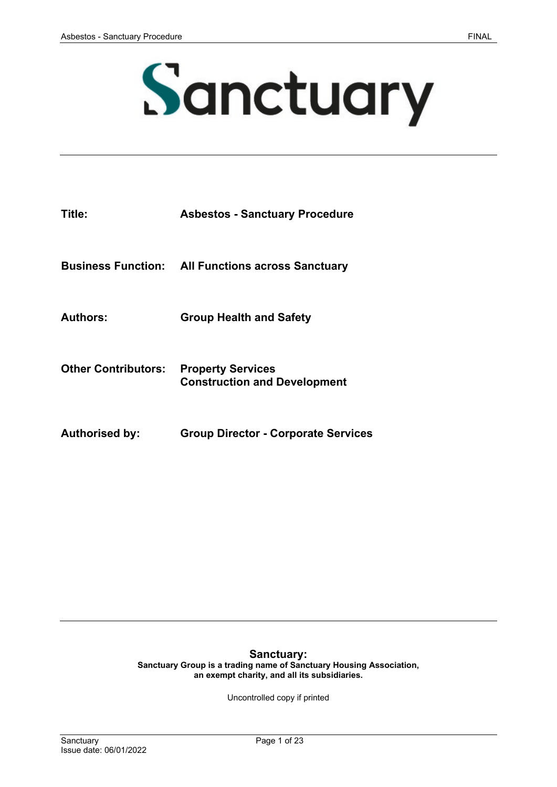# Sanctuary

| Title:                     | <b>Asbestos - Sanctuary Procedure</b>                           |
|----------------------------|-----------------------------------------------------------------|
|                            | <b>Business Function: All Functions across Sanctuary</b>        |
| <b>Authors:</b>            | <b>Group Health and Safety</b>                                  |
| <b>Other Contributors:</b> | <b>Property Services</b><br><b>Construction and Development</b> |
| <b>Authorised by:</b>      | <b>Group Director - Corporate Services</b>                      |

# **Sanctuary:**

**Sanctuary Group is a trading name of Sanctuary Housing Association, an exempt charity, and all its subsidiaries.** 

Uncontrolled copy if printed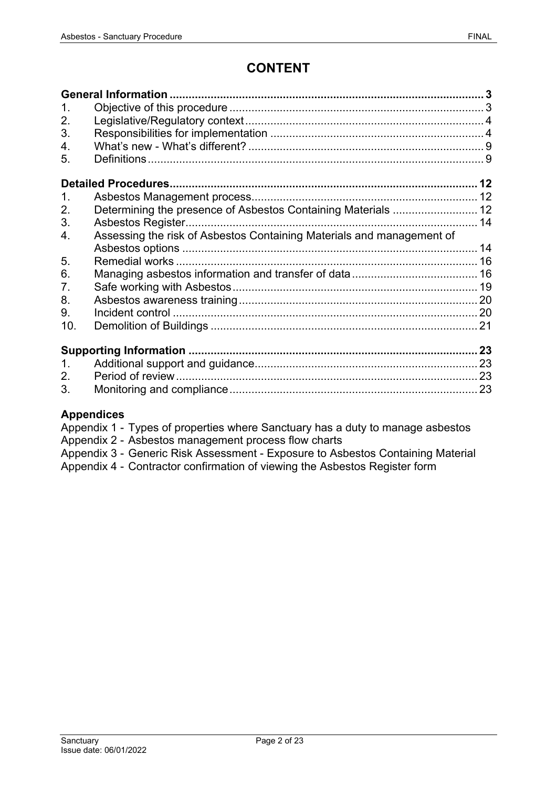# **CONTENT**

| 1             |                                                                       |  |  |
|---------------|-----------------------------------------------------------------------|--|--|
| 2.            |                                                                       |  |  |
| 3.            |                                                                       |  |  |
| 4.            |                                                                       |  |  |
| 5.            |                                                                       |  |  |
|               |                                                                       |  |  |
| $\mathbf 1$ . |                                                                       |  |  |
| 2.            |                                                                       |  |  |
| 3.            | Asbestos Register                                                     |  |  |
| 4.            | Assessing the risk of Asbestos Containing Materials and management of |  |  |
|               |                                                                       |  |  |
| 5.            |                                                                       |  |  |
| 6.            |                                                                       |  |  |
| 7.            |                                                                       |  |  |
| 8.            |                                                                       |  |  |
| 9.            |                                                                       |  |  |
| 10.           |                                                                       |  |  |
|               |                                                                       |  |  |
| 1.            |                                                                       |  |  |
| 2.            |                                                                       |  |  |
| 3.            |                                                                       |  |  |

# **Appendices**

- Appendix 1 Types of properties where Sanctuary has a duty to manage asbestos
- Appendix 2 Asbestos management process flow charts
- Appendix 3 Generic Risk Assessment Exposure to Asbestos Containing Material
- Appendix 4 Contractor confirmation of viewing the Asbestos Register form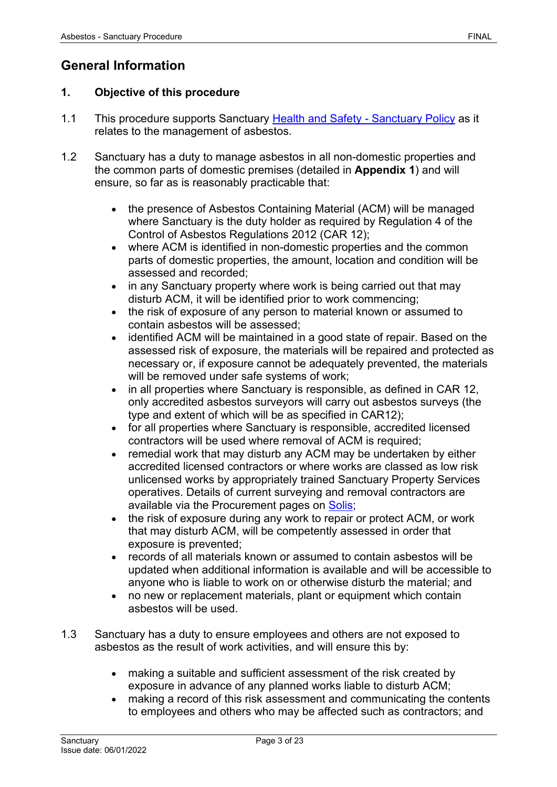# <span id="page-2-0"></span>**General Information**

# <span id="page-2-1"></span>**1. Objective of this procedure**

- 1.1 This procedure supports Sanctuary [Health and Safety -](https://solis/PolicyManagement/policy/Policies/Forms/Policy%20Document%20Set/docsethomepage.aspx?ID=5381&FolderCTID=0x0120D52000DE99EA054D4DF944BE591D81E49729D0008C670BDB86BED740B0B89E295CD8357C&List=a03723e1-d48b-4958-9669-9b86a90ef8b0&RootFolder=%2FPolicyManagement%2Fpolicy%2FPolicies%2FHealth%20and%20Safety%20%2D%20Group&RecSrc=%2FPolicyManagement%2Fpolicy%2FPolicies%2FHealth%20and%20Safety%20%2D%20Group) Sanctuary Policy as it relates to the management of asbestos.
- 1.2 Sanctuary has a duty to manage asbestos in all non-domestic properties and the common parts of domestic premises (detailed in **Appendix 1**) and will ensure, so far as is reasonably practicable that:
	- the presence of Asbestos Containing Material (ACM) will be managed where Sanctuary is the duty holder as required by Regulation 4 of the Control of Asbestos Regulations 2012 (CAR 12);
	- where ACM is identified in non-domestic properties and the common parts of domestic properties, the amount, location and condition will be assessed and recorded;
	- in any Sanctuary property where work is being carried out that may disturb ACM, it will be identified prior to work commencing;
	- the risk of exposure of any person to material known or assumed to contain asbestos will be assessed;
	- identified ACM will be maintained in a good state of repair. Based on the assessed risk of exposure, the materials will be repaired and protected as necessary or, if exposure cannot be adequately prevented, the materials will be removed under safe systems of work;
	- in all properties where Sanctuary is responsible, as defined in CAR 12, only accredited asbestos surveyors will carry out asbestos surveys (the type and extent of which will be as specified in CAR12);
	- for all properties where Sanctuary is responsible, accredited licensed contractors will be used where removal of ACM is required;
	- remedial work that may disturb any ACM may be undertaken by either accredited licensed contractors or where works are classed as low risk unlicensed works by appropriately trained Sanctuary Property Services operatives. Details of current surveying and removal contractors are available via the Procurement pages on [Solis;](https://solis/SG/PServices/goods-services-suppliers/Pages/Supplier%20Directory.aspx)
	- the risk of exposure during any work to repair or protect ACM, or work that may disturb ACM, will be competently assessed in order that exposure is prevented;
	- records of all materials known or assumed to contain asbestos will be updated when additional information is available and will be accessible to anyone who is liable to work on or otherwise disturb the material; and
	- no new or replacement materials, plant or equipment which contain asbestos will be used.
- 1.3 Sanctuary has a duty to ensure employees and others are not exposed to asbestos as the result of work activities, and will ensure this by:
	- making a suitable and sufficient assessment of the risk created by exposure in advance of any planned works liable to disturb ACM;
	- making a record of this risk assessment and communicating the contents to employees and others who may be affected such as contractors; and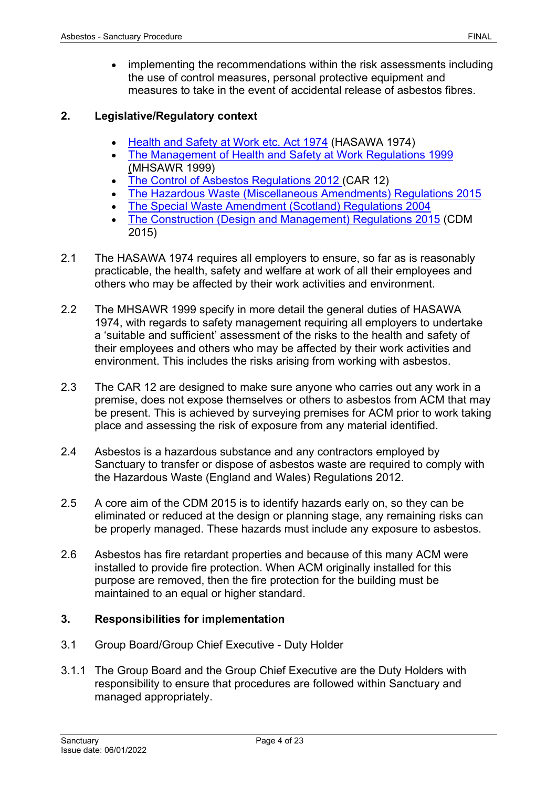• implementing the recommendations within the risk assessments including the use of control measures, personal protective equipment and measures to take in the event of accidental release of asbestos fibres.

### <span id="page-3-0"></span>**2. Legislative/Regulatory context**

- [Health and Safety at Work etc. Act 1974](http://www.legislation.gov.uk/ukpga/1974/37/contents) (HASAWA 1974)
- [The Management of Health and Safety at Work Regulations 1999](http://www.legislation.gov.uk/uksi/1999/3242/contents/made) (MHSAWR 1999)
- [The Control of Asbestos Regulations 2012](http://www.legislation.gov.uk/uksi/2012/632/contents/made) (CAR 12)
- [The Hazardous Waste \(Miscellaneous Amendments\) Regulations 2015](https://www.legislation.gov.uk/uksi/2015/1360/contents/made)
- [The Special Waste Amendment \(Scotland\) Regulations 2004](http://www.legislation.gov.uk/ssi/2004/112/contents/made)
- [The Construction \(Design and Management\) Regulations 2015](http://www.legislation.gov.uk/uksi/2015/51/contents/made) (CDM 2015)
- 2.1 The HASAWA 1974 requires all employers to ensure, so far as is reasonably practicable, the health, safety and welfare at work of all their employees and others who may be affected by their work activities and environment.
- 2.2 The MHSAWR 1999 specify in more detail the general duties of HASAWA 1974, with regards to safety management requiring all employers to undertake a 'suitable and sufficient' assessment of the risks to the health and safety of their employees and others who may be affected by their work activities and environment. This includes the risks arising from working with asbestos.
- 2.3 The CAR 12 are designed to make sure anyone who carries out any work in a premise, does not expose themselves or others to asbestos from ACM that may be present. This is achieved by surveying premises for ACM prior to work taking place and assessing the risk of exposure from any material identified.
- 2.4 Asbestos is a hazardous substance and any contractors employed by Sanctuary to transfer or dispose of asbestos waste are required to comply with the Hazardous Waste (England and Wales) Regulations 2012.
- 2.5 A core aim of the CDM 2015 is to identify hazards early on, so they can be eliminated or reduced at the design or planning stage, any remaining risks can be properly managed. These hazards must include any exposure to asbestos.
- 2.6 Asbestos has fire retardant properties and because of this many ACM were installed to provide fire protection. When ACM originally installed for this purpose are removed, then the fire protection for the building must be maintained to an equal or higher standard.

# <span id="page-3-1"></span>**3. Responsibilities for implementation**

- 3.1 Group Board/Group Chief Executive Duty Holder
- 3.1.1 The Group Board and the Group Chief Executive are the Duty Holders with responsibility to ensure that procedures are followed within Sanctuary and managed appropriately.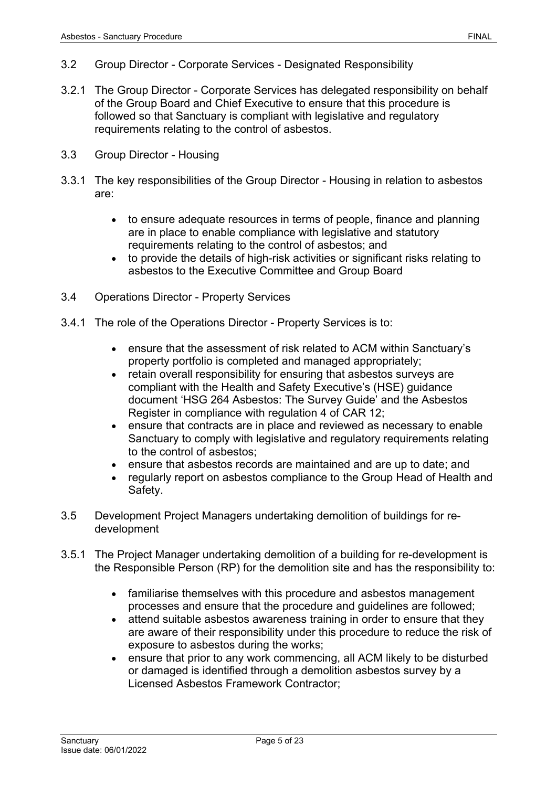- 3.2 Group Director Corporate Services Designated Responsibility
- 3.2.1 The Group Director Corporate Services has delegated responsibility on behalf of the Group Board and Chief Executive to ensure that this procedure is followed so that Sanctuary is compliant with legislative and regulatory requirements relating to the control of asbestos.
- 3.3 Group Director Housing
- 3.3.1 The key responsibilities of the Group Director Housing in relation to asbestos are:
	- to ensure adequate resources in terms of people, finance and planning are in place to enable compliance with legislative and statutory requirements relating to the control of asbestos; and
	- to provide the details of high-risk activities or significant risks relating to asbestos to the Executive Committee and Group Board
- 3.4 Operations Director Property Services
- 3.4.1 The role of the Operations Director Property Services is to:
	- ensure that the assessment of risk related to ACM within Sanctuary's property portfolio is completed and managed appropriately;
	- retain overall responsibility for ensuring that asbestos surveys are compliant with the Health and Safety Executive's (HSE) guidance document 'HSG 264 Asbestos: The Survey Guide' and the Asbestos Register in compliance with regulation 4 of CAR 12;
	- ensure that contracts are in place and reviewed as necessary to enable Sanctuary to comply with legislative and regulatory requirements relating to the control of asbestos;
	- ensure that asbestos records are maintained and are up to date; and
	- regularly report on asbestos compliance to the Group Head of Health and Safety.
- 3.5 Development Project Managers undertaking demolition of buildings for redevelopment
- 3.5.1 The Project Manager undertaking demolition of a building for re-development is the Responsible Person (RP) for the demolition site and has the responsibility to:
	- familiarise themselves with this procedure and asbestos management processes and ensure that the procedure and guidelines are followed;
	- attend suitable asbestos awareness training in order to ensure that they are aware of their responsibility under this procedure to reduce the risk of exposure to asbestos during the works;
	- ensure that prior to any work commencing, all ACM likely to be disturbed or damaged is identified through a demolition asbestos survey by a Licensed Asbestos Framework Contractor;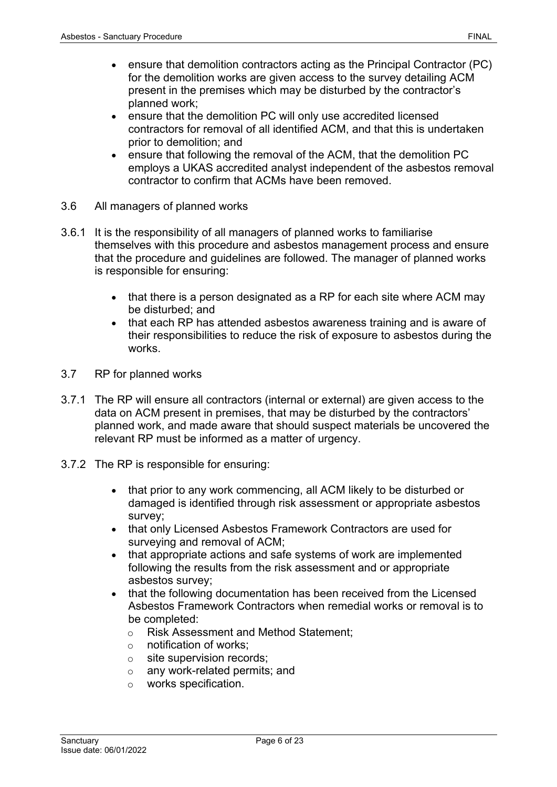- ensure that demolition contractors acting as the Principal Contractor (PC) for the demolition works are given access to the survey detailing ACM present in the premises which may be disturbed by the contractor's planned work;
- ensure that the demolition PC will only use accredited licensed contractors for removal of all identified ACM, and that this is undertaken prior to demolition; and
- ensure that following the removal of the ACM, that the demolition PC employs a UKAS accredited analyst independent of the asbestos removal contractor to confirm that ACMs have been removed.
- 3.6 All managers of planned works
- 3.6.1 It is the responsibility of all managers of planned works to familiarise themselves with this procedure and asbestos management process and ensure that the procedure and guidelines are followed. The manager of planned works is responsible for ensuring:
	- that there is a person designated as a RP for each site where ACM may be disturbed; and
	- that each RP has attended asbestos awareness training and is aware of their responsibilities to reduce the risk of exposure to asbestos during the works.
- 3.7 RP for planned works
- 3.7.1 The RP will ensure all contractors (internal or external) are given access to the data on ACM present in premises, that may be disturbed by the contractors' planned work, and made aware that should suspect materials be uncovered the relevant RP must be informed as a matter of urgency.
- 3.7.2 The RP is responsible for ensuring:
	- that prior to any work commencing, all ACM likely to be disturbed or damaged is identified through risk assessment or appropriate asbestos survey;
	- that only Licensed Asbestos Framework Contractors are used for surveying and removal of ACM;
	- that appropriate actions and safe systems of work are implemented following the results from the risk assessment and or appropriate asbestos survey;
	- that the following documentation has been received from the Licensed Asbestos Framework Contractors when remedial works or removal is to be completed:
		- o Risk Assessment and Method Statement;
		- o notification of works;
		- o site supervision records;
		- o any work-related permits; and
		- o works specification.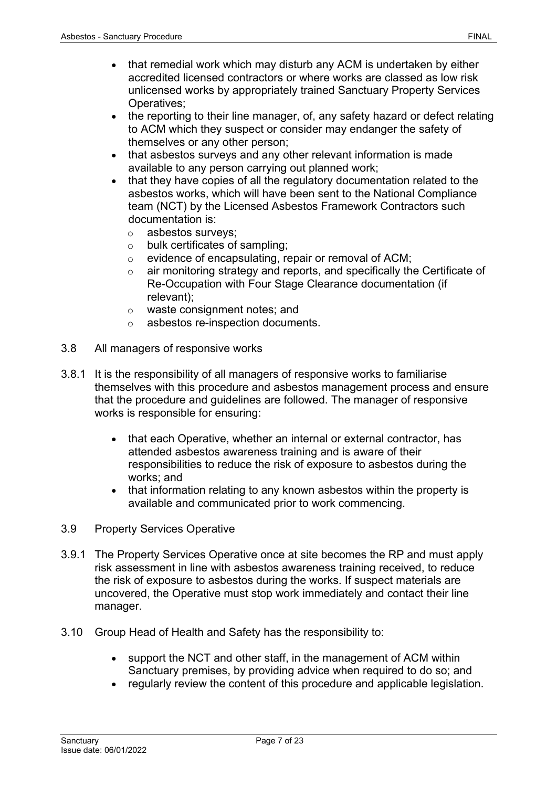- that remedial work which may disturb any ACM is undertaken by either accredited licensed contractors or where works are classed as low risk unlicensed works by appropriately trained Sanctuary Property Services Operatives;
- the reporting to their line manager, of, any safety hazard or defect relating to ACM which they suspect or consider may endanger the safety of themselves or any other person;
- that asbestos surveys and any other relevant information is made available to any person carrying out planned work;
- that they have copies of all the regulatory documentation related to the asbestos works, which will have been sent to the National Compliance team (NCT) by the Licensed Asbestos Framework Contractors such documentation is:
	- o asbestos surveys;
	- $\circ$  bulk certificates of sampling:
	- o evidence of encapsulating, repair or removal of ACM;
	- o air monitoring strategy and reports, and specifically the Certificate of Re-Occupation with Four Stage Clearance documentation (if relevant);
	- o waste consignment notes; and
	- o asbestos re-inspection documents.
- 3.8 All managers of responsive works
- 3.8.1 It is the responsibility of all managers of responsive works to familiarise themselves with this procedure and asbestos management process and ensure that the procedure and guidelines are followed. The manager of responsive works is responsible for ensuring:
	- that each Operative, whether an internal or external contractor, has attended asbestos awareness training and is aware of their responsibilities to reduce the risk of exposure to asbestos during the works; and
	- that information relating to any known asbestos within the property is available and communicated prior to work commencing.
- 3.9 Property Services Operative
- 3.9.1 The Property Services Operative once at site becomes the RP and must apply risk assessment in line with asbestos awareness training received, to reduce the risk of exposure to asbestos during the works. If suspect materials are uncovered, the Operative must stop work immediately and contact their line manager.
- 3.10 Group Head of Health and Safety has the responsibility to:
	- support the NCT and other staff, in the management of ACM within Sanctuary premises, by providing advice when required to do so; and
	- regularly review the content of this procedure and applicable legislation.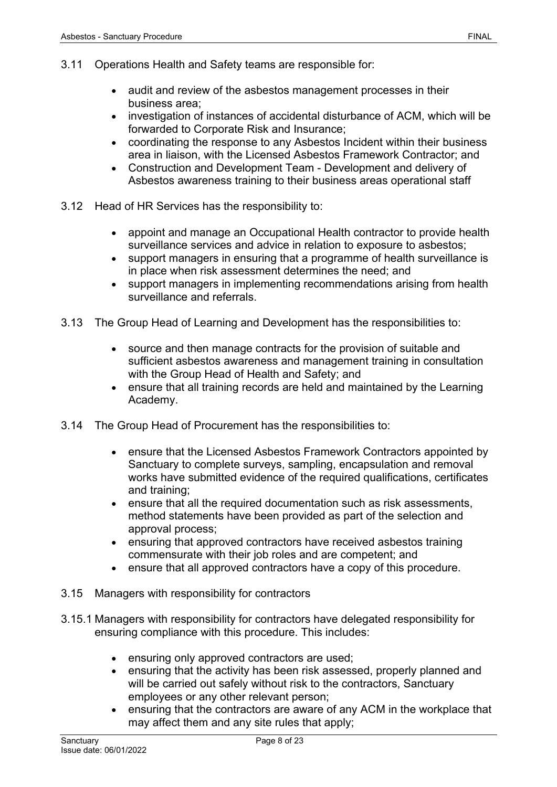- 3.11 Operations Health and Safety teams are responsible for:
	- audit and review of the asbestos management processes in their business area;
	- investigation of instances of accidental disturbance of ACM, which will be forwarded to Corporate Risk and Insurance;
	- coordinating the response to any Asbestos Incident within their business area in liaison, with the Licensed Asbestos Framework Contractor; and
	- Construction and Development Team Development and delivery of Asbestos awareness training to their business areas operational staff
- 3.12 Head of HR Services has the responsibility to:
	- appoint and manage an Occupational Health contractor to provide health surveillance services and advice in relation to exposure to asbestos;
	- support managers in ensuring that a programme of health surveillance is in place when risk assessment determines the need; and
	- support managers in implementing recommendations arising from health surveillance and referrals.
- 3.13 The Group Head of Learning and Development has the responsibilities to:
	- source and then manage contracts for the provision of suitable and sufficient asbestos awareness and management training in consultation with the Group Head of Health and Safety; and
	- ensure that all training records are held and maintained by the Learning Academy.
- 3.14 The Group Head of Procurement has the responsibilities to:
	- ensure that the Licensed Asbestos Framework Contractors appointed by Sanctuary to complete surveys, sampling, encapsulation and removal works have submitted evidence of the required qualifications, certificates and training;
	- ensure that all the required documentation such as risk assessments, method statements have been provided as part of the selection and approval process;
	- ensuring that approved contractors have received asbestos training commensurate with their job roles and are competent; and
	- ensure that all approved contractors have a copy of this procedure.
- 3.15 Managers with responsibility for contractors
- 3.15.1 Managers with responsibility for contractors have delegated responsibility for ensuring compliance with this procedure. This includes:
	- ensuring only approved contractors are used;
	- ensuring that the activity has been risk assessed, properly planned and will be carried out safely without risk to the contractors, Sanctuary employees or any other relevant person;
	- ensuring that the contractors are aware of any ACM in the workplace that may affect them and any site rules that apply;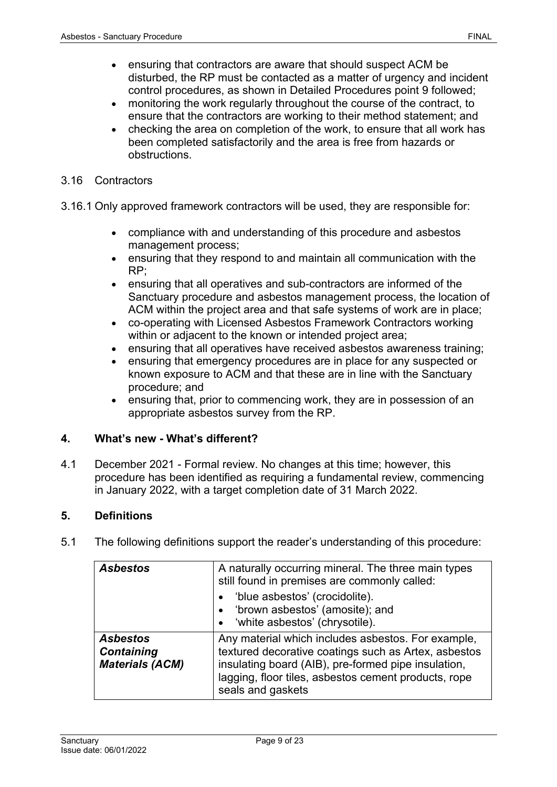- ensuring that contractors are aware that should suspect ACM be disturbed, the RP must be contacted as a matter of urgency and incident control procedures, as shown in Detailed Procedures point 9 followed;
- monitoring the work regularly throughout the course of the contract, to ensure that the contractors are working to their method statement; and
- checking the area on completion of the work, to ensure that all work has been completed satisfactorily and the area is free from hazards or obstructions.
- 3.16 Contractors
- 3.16.1 Only approved framework contractors will be used, they are responsible for:
	- compliance with and understanding of this procedure and asbestos management process;
	- ensuring that they respond to and maintain all communication with the RP;
	- ensuring that all operatives and sub-contractors are informed of the Sanctuary procedure and asbestos management process, the location of ACM within the project area and that safe systems of work are in place;
	- co-operating with Licensed Asbestos Framework Contractors working within or adjacent to the known or intended project area;
	- ensuring that all operatives have received asbestos awareness training:
	- ensuring that emergency procedures are in place for any suspected or known exposure to ACM and that these are in line with the Sanctuary procedure; and
	- ensuring that, prior to commencing work, they are in possession of an appropriate asbestos survey from the RP.

# <span id="page-8-0"></span>**4. What's new - What's different?**

4.1 December 2021 - Formal review. No changes at this time; however, this procedure has been identified as requiring a fundamental review, commencing in January 2022, with a target completion date of 31 March 2022.

# <span id="page-8-1"></span>**5. Definitions**

5.1 The following definitions support the reader's understanding of this procedure:

| <b>Asbestos</b>                                                | A naturally occurring mineral. The three main types<br>still found in premises are commonly called:                                                                                                                                            |  |
|----------------------------------------------------------------|------------------------------------------------------------------------------------------------------------------------------------------------------------------------------------------------------------------------------------------------|--|
|                                                                | 'blue asbestos' (crocidolite).<br>$\bullet$<br>'brown asbestos' (amosite); and<br>$\bullet$<br>• 'white asbestos' (chrysotile).                                                                                                                |  |
| <b>Asbestos</b><br><b>Containing</b><br><b>Materials (ACM)</b> | Any material which includes asbestos. For example,<br>textured decorative coatings such as Artex, asbestos<br>insulating board (AIB), pre-formed pipe insulation,<br>lagging, floor tiles, asbestos cement products, rope<br>seals and gaskets |  |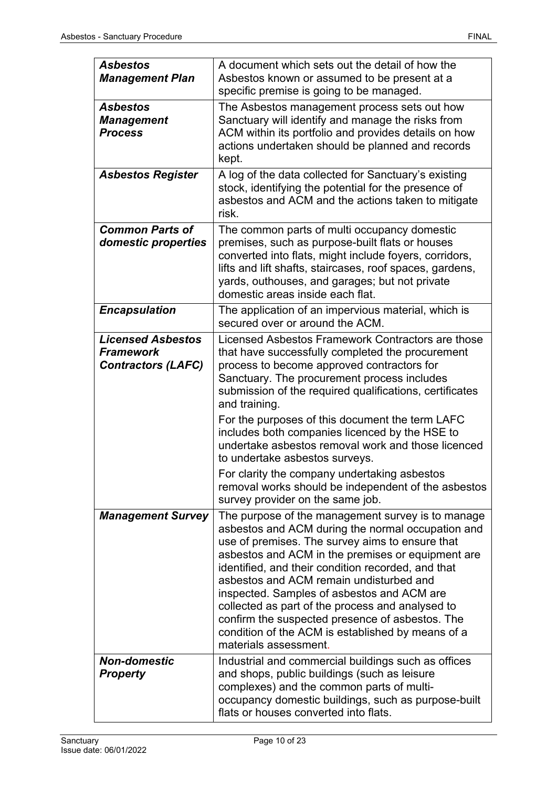| <b>Asbestos</b><br><b>Management Plan</b>                                 | A document which sets out the detail of how the<br>Asbestos known or assumed to be present at a<br>specific premise is going to be managed.                                                                                                                                                                                                                                                                                                                                                                                                        |
|---------------------------------------------------------------------------|----------------------------------------------------------------------------------------------------------------------------------------------------------------------------------------------------------------------------------------------------------------------------------------------------------------------------------------------------------------------------------------------------------------------------------------------------------------------------------------------------------------------------------------------------|
| <b>Asbestos</b><br><b>Management</b><br><b>Process</b>                    | The Asbestos management process sets out how<br>Sanctuary will identify and manage the risks from<br>ACM within its portfolio and provides details on how<br>actions undertaken should be planned and records<br>kept.                                                                                                                                                                                                                                                                                                                             |
| <b>Asbestos Register</b>                                                  | A log of the data collected for Sanctuary's existing<br>stock, identifying the potential for the presence of<br>asbestos and ACM and the actions taken to mitigate<br>risk.                                                                                                                                                                                                                                                                                                                                                                        |
| <b>Common Parts of</b><br>domestic properties                             | The common parts of multi occupancy domestic<br>premises, such as purpose-built flats or houses<br>converted into flats, might include foyers, corridors,<br>lifts and lift shafts, staircases, roof spaces, gardens,<br>yards, outhouses, and garages; but not private<br>domestic areas inside each flat.                                                                                                                                                                                                                                        |
| <b>Encapsulation</b>                                                      | The application of an impervious material, which is<br>secured over or around the ACM.                                                                                                                                                                                                                                                                                                                                                                                                                                                             |
| <b>Licensed Asbestos</b><br><b>Framework</b><br><b>Contractors (LAFC)</b> | Licensed Asbestos Framework Contractors are those<br>that have successfully completed the procurement<br>process to become approved contractors for<br>Sanctuary. The procurement process includes<br>submission of the required qualifications, certificates<br>and training.<br>For the purposes of this document the term LAFC<br>includes both companies licenced by the HSE to<br>undertake asbestos removal work and those licenced                                                                                                          |
|                                                                           | to undertake asbestos surveys.<br>For clarity the company undertaking asbestos<br>removal works should be independent of the asbestos<br>survey provider on the same job.                                                                                                                                                                                                                                                                                                                                                                          |
| <b>Management Survey</b>                                                  | The purpose of the management survey is to manage<br>asbestos and ACM during the normal occupation and<br>use of premises. The survey aims to ensure that<br>asbestos and ACM in the premises or equipment are<br>identified, and their condition recorded, and that<br>asbestos and ACM remain undisturbed and<br>inspected. Samples of asbestos and ACM are<br>collected as part of the process and analysed to<br>confirm the suspected presence of asbestos. The<br>condition of the ACM is established by means of a<br>materials assessment. |
| <b>Non-domestic</b><br><b>Property</b>                                    | Industrial and commercial buildings such as offices<br>and shops, public buildings (such as leisure<br>complexes) and the common parts of multi-<br>occupancy domestic buildings, such as purpose-built<br>flats or houses converted into flats.                                                                                                                                                                                                                                                                                                   |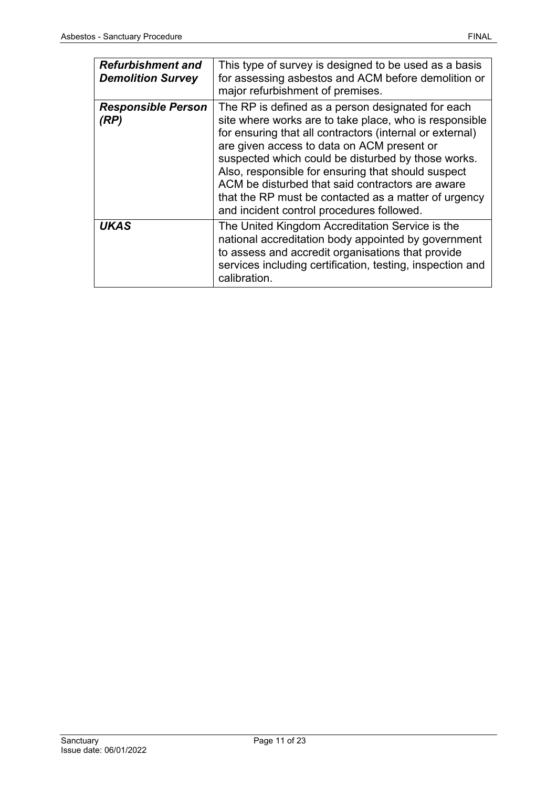| <b>Refurbishment and</b><br><b>Demolition Survey</b> | This type of survey is designed to be used as a basis<br>for assessing asbestos and ACM before demolition or<br>major refurbishment of premises.                                                                                                                                                                                                                                                                                                                                           |
|------------------------------------------------------|--------------------------------------------------------------------------------------------------------------------------------------------------------------------------------------------------------------------------------------------------------------------------------------------------------------------------------------------------------------------------------------------------------------------------------------------------------------------------------------------|
| <b>Responsible Person</b><br>(RP)                    | The RP is defined as a person designated for each<br>site where works are to take place, who is responsible<br>for ensuring that all contractors (internal or external)<br>are given access to data on ACM present or<br>suspected which could be disturbed by those works.<br>Also, responsible for ensuring that should suspect<br>ACM be disturbed that said contractors are aware<br>that the RP must be contacted as a matter of urgency<br>and incident control procedures followed. |
| <b>UKAS</b>                                          | The United Kingdom Accreditation Service is the<br>national accreditation body appointed by government<br>to assess and accredit organisations that provide<br>services including certification, testing, inspection and<br>calibration.                                                                                                                                                                                                                                                   |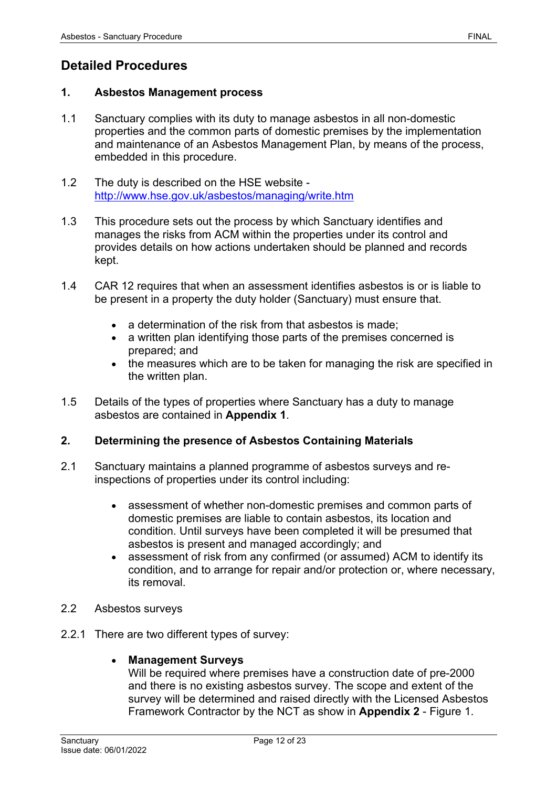# <span id="page-11-0"></span>**Detailed Procedures**

#### <span id="page-11-1"></span>**1. Asbestos Management process**

- 1.1 Sanctuary complies with its duty to manage asbestos in all non-domestic properties and the common parts of domestic premises by the implementation and maintenance of an Asbestos Management Plan, by means of the process, embedded in this procedure.
- 1.2 The duty is described on the HSE website <http://www.hse.gov.uk/asbestos/managing/write.htm>
- 1.3 This procedure sets out the process by which Sanctuary identifies and manages the risks from ACM within the properties under its control and provides details on how actions undertaken should be planned and records kept.
- 1.4 CAR 12 requires that when an assessment identifies asbestos is or is liable to be present in a property the duty holder (Sanctuary) must ensure that.
	- a determination of the risk from that asbestos is made:
	- a written plan identifying those parts of the premises concerned is prepared; and
	- the measures which are to be taken for managing the risk are specified in the written plan.
- 1.5 Details of the types of properties where Sanctuary has a duty to manage asbestos are contained in **Appendix 1**.

#### <span id="page-11-2"></span>**2. Determining the presence of Asbestos Containing Materials**

- 2.1 Sanctuary maintains a planned programme of asbestos surveys and reinspections of properties under its control including:
	- assessment of whether non-domestic premises and common parts of domestic premises are liable to contain asbestos, its location and condition. Until surveys have been completed it will be presumed that asbestos is present and managed accordingly; and
	- assessment of risk from any confirmed (or assumed) ACM to identify its condition, and to arrange for repair and/or protection or, where necessary, its removal.
- 2.2 Asbestos surveys
- 2.2.1 There are two different types of survey:

#### • **Management Surveys**

Will be required where premises have a construction date of pre-2000 and there is no existing asbestos survey. The scope and extent of the survey will be determined and raised directly with the Licensed Asbestos Framework Contractor by the NCT as show in **Appendix 2** - Figure 1.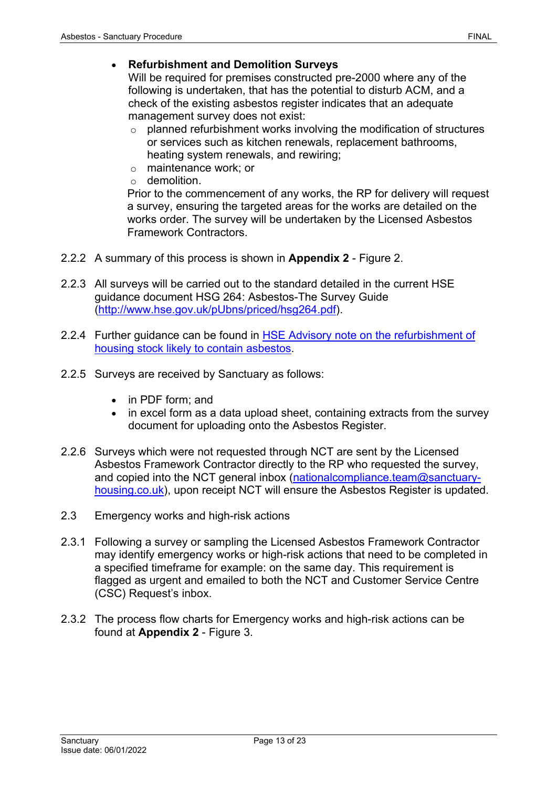#### • **Refurbishment and Demolition Surveys**

Will be required for premises constructed pre-2000 where any of the following is undertaken, that has the potential to disturb ACM, and a check of the existing asbestos register indicates that an adequate management survey does not exist:

- o planned refurbishment works involving the modification of structures or services such as kitchen renewals, replacement bathrooms, heating system renewals, and rewiring;
- o maintenance work; or
- $\circ$  demolition

Prior to the commencement of any works, the RP for delivery will request a survey, ensuring the targeted areas for the works are detailed on the works order. The survey will be undertaken by the Licensed Asbestos Framework Contractors.

- 2.2.2 A summary of this process is shown in **Appendix 2** Figure 2.
- 2.2.3 All surveys will be carried out to the standard detailed in the current HSE guidance document HSG 264: Asbestos-The Survey Guide [\(http://www.hse.gov.uk/pUbns/priced/hsg264.pdf\)](http://www.hse.gov.uk/pUbns/priced/hsg264.pdf).
- 2.2.4 Further guidance can be found in [HSE Advisory note on the refurbishment](http://www.hse.gov.uk/services/localgovernment/asbestos-guidance-refurbishment.pdf) of [housing stock likely to contain asbestos.](http://www.hse.gov.uk/services/localgovernment/asbestos-guidance-refurbishment.pdf)
- 2.2.5 Surveys are received by Sanctuary as follows:
	- in PDF form; and
	- in excel form as a data upload sheet, containing extracts from the survey document for uploading onto the Asbestos Register.
- 2.2.6 Surveys which were not requested through NCT are sent by the Licensed Asbestos Framework Contractor directly to the RP who requested the survey, and copied into the NCT general inbox [\(nationalcompliance.team@sanctuary](mailto:nationalcompliance.team@sanctuary-housing.co.uk)[housing.co.uk\)](mailto:nationalcompliance.team@sanctuary-housing.co.uk), upon receipt NCT will ensure the Asbestos Register is updated.
- 2.3 Emergency works and high-risk actions
- 2.3.1 Following a survey or sampling the Licensed Asbestos Framework Contractor may identify emergency works or high-risk actions that need to be completed in a specified timeframe for example: on the same day. This requirement is flagged as urgent and emailed to both the NCT and Customer Service Centre (CSC) Request's inbox.
- 2.3.2 The process flow charts for Emergency works and high-risk actions can be found at **Appendix 2** - Figure 3.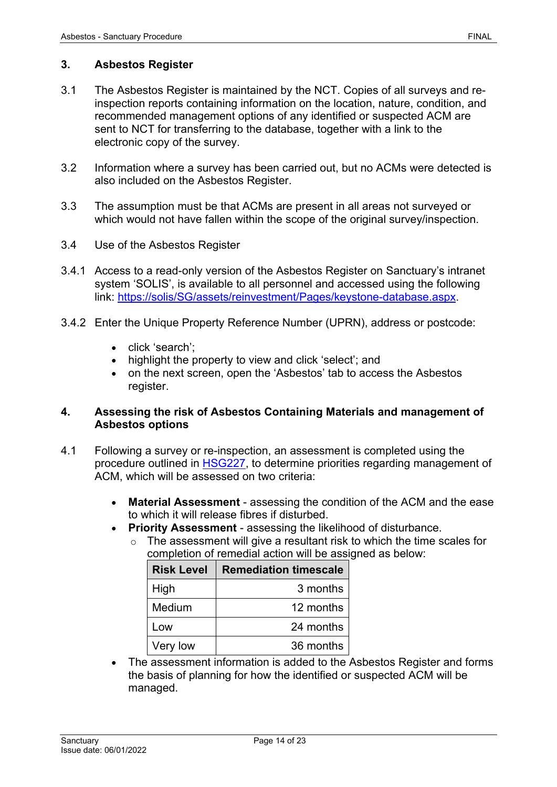# <span id="page-13-0"></span>**3. Asbestos Register**

- 3.1 The Asbestos Register is maintained by the NCT. Copies of all surveys and reinspection reports containing information on the location, nature, condition, and recommended management options of any identified or suspected ACM are sent to NCT for transferring to the database, together with a link to the electronic copy of the survey.
- 3.2 Information where a survey has been carried out, but no ACMs were detected is also included on the Asbestos Register.
- 3.3 The assumption must be that ACMs are present in all areas not surveyed or which would not have fallen within the scope of the original survey/inspection.
- 3.4 Use of the Asbestos Register
- 3.4.1 Access to a read-only version of the Asbestos Register on Sanctuary's intranet system 'SOLIS', is available to all personnel and accessed using the following link: [https://solis/SG/assets/reinvestment/Pages/keystone-database.aspx.](https://solis/SG/assets/reinvestment/Pages/keystone-database.aspx)
- 3.4.2 Enter the Unique Property Reference Number (UPRN), address or postcode:
	- click 'search';
	- highlight the property to view and click 'select'; and
	- on the next screen, open the 'Asbestos' tab to access the Asbestos register.

# <span id="page-13-1"></span>**4. Assessing the risk of Asbestos Containing Materials and management of Asbestos options**

- 4.1 Following a survey or re-inspection, an assessment is completed using the procedure outlined in [HSG227,](http://www.hse.gov.uk/pubns/priced/hsg227.pdf) to determine priorities regarding management of ACM, which will be assessed on two criteria:
	- **Material Assessment** assessing the condition of the ACM and the ease to which it will release fibres if disturbed.
	- **Priority Assessment** assessing the likelihood of disturbance.
		- $\circ$  The assessment will give a resultant risk to which the time scales for completion of remedial action will be assigned as below:

| <b>Risk Level</b> | <b>Remediation timescale</b> |
|-------------------|------------------------------|
| High              | 3 months                     |
| Medium            | 12 months                    |
| Low               | 24 months                    |
| Very low          | 36 months                    |

• The assessment information is added to the Asbestos Register and forms the basis of planning for how the identified or suspected ACM will be managed.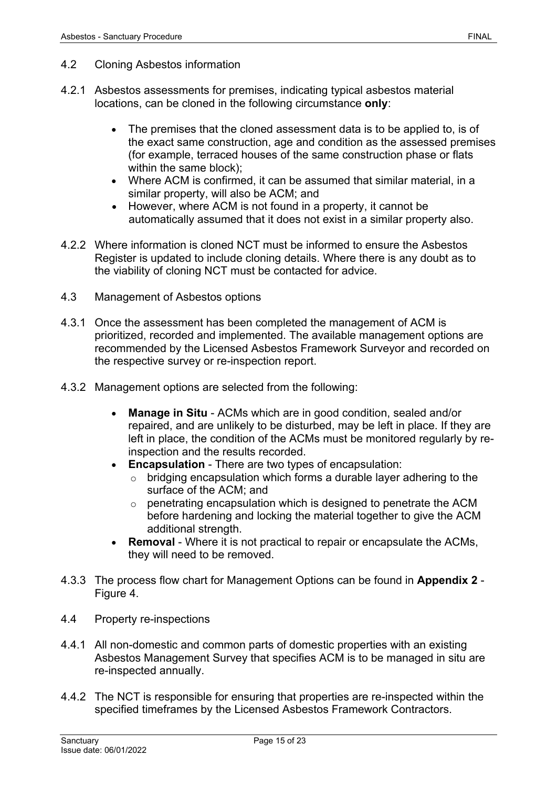- 4.2 Cloning Asbestos information
- 4.2.1 Asbestos assessments for premises, indicating typical asbestos material locations, can be cloned in the following circumstance **only**:
	- The premises that the cloned assessment data is to be applied to, is of the exact same construction, age and condition as the assessed premises (for example, terraced houses of the same construction phase or flats within the same block);
	- Where ACM is confirmed, it can be assumed that similar material, in a similar property, will also be ACM; and
	- However, where ACM is not found in a property, it cannot be automatically assumed that it does not exist in a similar property also.
- 4.2.2 Where information is cloned NCT must be informed to ensure the Asbestos Register is updated to include cloning details. Where there is any doubt as to the viability of cloning NCT must be contacted for advice.
- 4.3 Management of Asbestos options
- 4.3.1 Once the assessment has been completed the management of ACM is prioritized, recorded and implemented. The available management options are recommended by the Licensed Asbestos Framework Surveyor and recorded on the respective survey or re-inspection report.
- 4.3.2 Management options are selected from the following:
	- **Manage in Situ** ACMs which are in good condition, sealed and/or repaired, and are unlikely to be disturbed, may be left in place. If they are left in place, the condition of the ACMs must be monitored regularly by reinspection and the results recorded.
	- **Encapsulation** There are two types of encapsulation:
		- o bridging encapsulation which forms a durable layer adhering to the surface of the ACM; and
		- o penetrating encapsulation which is designed to penetrate the ACM before hardening and locking the material together to give the ACM additional strength.
	- **Removal** Where it is not practical to repair or encapsulate the ACMs, they will need to be removed.
- 4.3.3 The process flow chart for Management Options can be found in **Appendix 2** Figure 4.
- 4.4 Property re-inspections
- 4.4.1 All non-domestic and common parts of domestic properties with an existing Asbestos Management Survey that specifies ACM is to be managed in situ are re-inspected annually.
- 4.4.2 The NCT is responsible for ensuring that properties are re-inspected within the specified timeframes by the Licensed Asbestos Framework Contractors.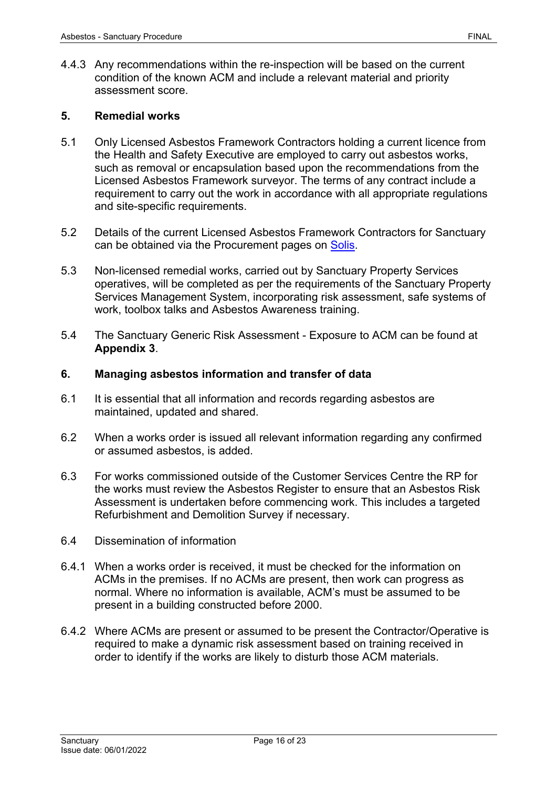4.4.3 Any recommendations within the re-inspection will be based on the current condition of the known ACM and include a relevant material and priority assessment score.

#### <span id="page-15-0"></span>**5. Remedial works**

- 5.1 Only Licensed Asbestos Framework Contractors holding a current licence from the Health and Safety Executive are employed to carry out asbestos works, such as removal or encapsulation based upon the recommendations from the Licensed Asbestos Framework surveyor. The terms of any contract include a requirement to carry out the work in accordance with all appropriate regulations and site-specific requirements.
- 5.2 Details of the current Licensed Asbestos Framework Contractors for Sanctuary can be obtained via the Procurement pages on [Solis.](https://solis/SG/PServices/goods-services-suppliers/Pages/Supplier%20Directory.aspx)
- 5.3 Non-licensed remedial works, carried out by Sanctuary Property Services operatives, will be completed as per the requirements of the Sanctuary Property Services Management System, incorporating risk assessment, safe systems of work, toolbox talks and Asbestos Awareness training.
- 5.4 The Sanctuary Generic Risk Assessment Exposure to ACM can be found at **Appendix 3**.

#### <span id="page-15-1"></span>**6. Managing asbestos information and transfer of data**

- 6.1 It is essential that all information and records regarding asbestos are maintained, updated and shared.
- 6.2 When a works order is issued all relevant information regarding any confirmed or assumed asbestos, is added.
- 6.3 For works commissioned outside of the Customer Services Centre the RP for the works must review the Asbestos Register to ensure that an Asbestos Risk Assessment is undertaken before commencing work. This includes a targeted Refurbishment and Demolition Survey if necessary.
- 6.4 Dissemination of information
- 6.4.1 When a works order is received, it must be checked for the information on ACMs in the premises. If no ACMs are present, then work can progress as normal. Where no information is available, ACM's must be assumed to be present in a building constructed before 2000.
- 6.4.2 Where ACMs are present or assumed to be present the Contractor/Operative is required to make a dynamic risk assessment based on training received in order to identify if the works are likely to disturb those ACM materials.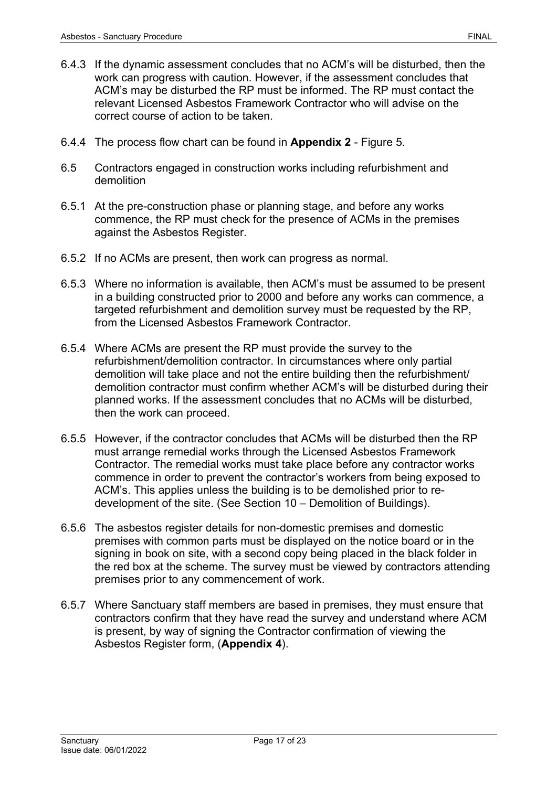- 6.4.3 If the dynamic assessment concludes that no ACM's will be disturbed, then the work can progress with caution. However, if the assessment concludes that ACM's may be disturbed the RP must be informed. The RP must contact the relevant Licensed Asbestos Framework Contractor who will advise on the correct course of action to be taken.
- 6.4.4 The process flow chart can be found in **Appendix 2** Figure 5.
- 6.5 Contractors engaged in construction works including refurbishment and demolition
- 6.5.1 At the pre-construction phase or planning stage, and before any works commence, the RP must check for the presence of ACMs in the premises against the Asbestos Register.
- 6.5.2 If no ACMs are present, then work can progress as normal.
- 6.5.3 Where no information is available, then ACM's must be assumed to be present in a building constructed prior to 2000 and before any works can commence, a targeted refurbishment and demolition survey must be requested by the RP, from the Licensed Asbestos Framework Contractor.
- 6.5.4 Where ACMs are present the RP must provide the survey to the refurbishment/demolition contractor. In circumstances where only partial demolition will take place and not the entire building then the refurbishment/ demolition contractor must confirm whether ACM's will be disturbed during their planned works. If the assessment concludes that no ACMs will be disturbed, then the work can proceed.
- 6.5.5 However, if the contractor concludes that ACMs will be disturbed then the RP must arrange remedial works through the Licensed Asbestos Framework Contractor. The remedial works must take place before any contractor works commence in order to prevent the contractor's workers from being exposed to ACM's. This applies unless the building is to be demolished prior to redevelopment of the site. (See Section 10 – Demolition of Buildings).
- 6.5.6 The asbestos register details for non-domestic premises and domestic premises with common parts must be displayed on the notice board or in the signing in book on site, with a second copy being placed in the black folder in the red box at the scheme. The survey must be viewed by contractors attending premises prior to any commencement of work.
- 6.5.7 Where Sanctuary staff members are based in premises, they must ensure that contractors confirm that they have read the survey and understand where ACM is present, by way of signing the Contractor confirmation of viewing the Asbestos Register form, (**Appendix 4**).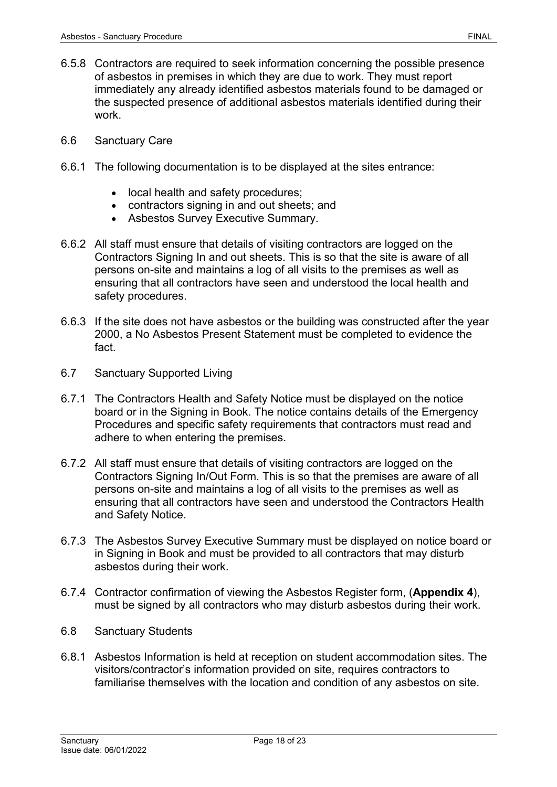- 6.5.8 Contractors are required to seek information concerning the possible presence of asbestos in premises in which they are due to work. They must report immediately any already identified asbestos materials found to be damaged or the suspected presence of additional asbestos materials identified during their work.
- 6.6 Sanctuary Care
- 6.6.1 The following documentation is to be displayed at the sites entrance:
	- local health and safety procedures;
	- contractors signing in and out sheets; and
	- Asbestos Survey Executive Summary.
- 6.6.2 All staff must ensure that details of visiting contractors are logged on the Contractors Signing In and out sheets. This is so that the site is aware of all persons on-site and maintains a log of all visits to the premises as well as ensuring that all contractors have seen and understood the local health and safety procedures.
- 6.6.3 If the site does not have asbestos or the building was constructed after the year 2000, a No Asbestos Present Statement must be completed to evidence the fact.
- 6.7 Sanctuary Supported Living
- 6.7.1 The Contractors Health and Safety Notice must be displayed on the notice board or in the Signing in Book. The notice contains details of the Emergency Procedures and specific safety requirements that contractors must read and adhere to when entering the premises.
- 6.7.2 All staff must ensure that details of visiting contractors are logged on the Contractors Signing In/Out Form. This is so that the premises are aware of all persons on-site and maintains a log of all visits to the premises as well as ensuring that all contractors have seen and understood the Contractors Health and Safety Notice.
- 6.7.3 The Asbestos Survey Executive Summary must be displayed on notice board or in Signing in Book and must be provided to all contractors that may disturb asbestos during their work.
- 6.7.4 Contractor confirmation of viewing the Asbestos Register form, (**Appendix 4**), must be signed by all contractors who may disturb asbestos during their work.
- 6.8 Sanctuary Students
- 6.8.1 Asbestos Information is held at reception on student accommodation sites. The visitors/contractor's information provided on site, requires contractors to familiarise themselves with the location and condition of any asbestos on site.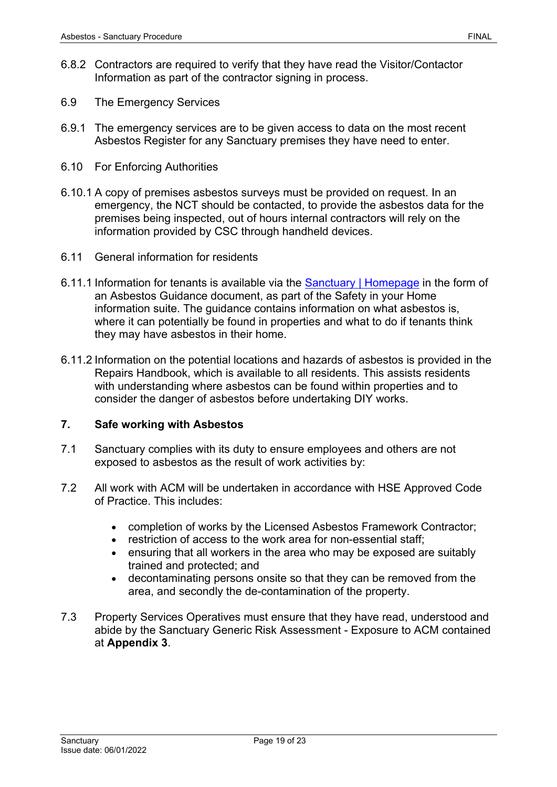- 6.8.2 Contractors are required to verify that they have read the Visitor/Contactor Information as part of the contractor signing in process.
- 6.9 The Emergency Services
- 6.9.1 The emergency services are to be given access to data on the most recent Asbestos Register for any Sanctuary premises they have need to enter.
- 6.10 For Enforcing Authorities
- 6.10.1 A copy of premises asbestos surveys must be provided on request. In an emergency, the NCT should be contacted, to provide the asbestos data for the premises being inspected, out of hours internal contractors will rely on the information provided by CSC through handheld devices.
- 6.11 General information for residents
- 6.11.1 Information for tenants is available via the [Sanctuary | Homepage](https://www.sanctuary-group.co.uk/) in the form of an Asbestos Guidance document, as part of the Safety in your Home information suite. The guidance contains information on what asbestos is, where it can potentially be found in properties and what to do if tenants think they may have asbestos in their home.
- 6.11.2 Information on the potential locations and hazards of asbestos is provided in the Repairs Handbook, which is available to all residents. This assists residents with understanding where asbestos can be found within properties and to consider the danger of asbestos before undertaking DIY works.

# <span id="page-18-0"></span>**7. Safe working with Asbestos**

- 7.1 Sanctuary complies with its duty to ensure employees and others are not exposed to asbestos as the result of work activities by:
- 7.2 All work with ACM will be undertaken in accordance with HSE Approved Code of Practice. This includes:
	- completion of works by the Licensed Asbestos Framework Contractor;
	- restriction of access to the work area for non-essential staff;
	- ensuring that all workers in the area who may be exposed are suitably trained and protected; and
	- decontaminating persons onsite so that they can be removed from the area, and secondly the de-contamination of the property.
- 7.3 Property Services Operatives must ensure that they have read, understood and abide by the Sanctuary Generic Risk Assessment - Exposure to ACM contained at **Appendix 3**.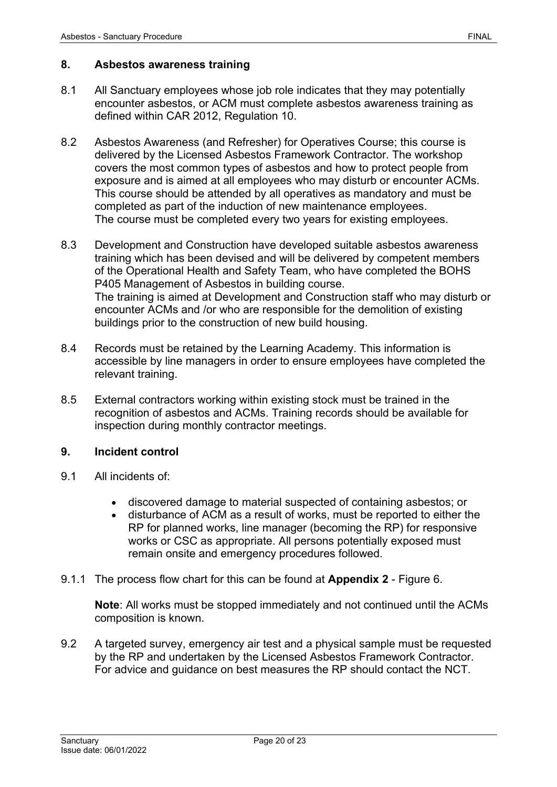#### <span id="page-19-0"></span>**8. Asbestos awareness training**

- 8.1 All Sanctuary employees whose job role indicates that they may potentially encounter asbestos, or ACM must complete asbestos awareness training as defined within CAR 2012, Regulation 10.
- 8.2 Asbestos Awareness (and Refresher) for Operatives Course; this course is delivered by the Licensed Asbestos Framework Contractor. The workshop covers the most common types of asbestos and how to protect people from exposure and is aimed at all employees who may disturb or encounter ACMs. This course should be attended by all operatives as mandatory and must be completed as part of the induction of new maintenance employees. The course must be completed every two years for existing employees.
- 8.3 Development and Construction have developed suitable asbestos awareness training which has been devised and will be delivered by competent members of the Operational Health and Safety Team, who have completed the BOHS P405 Management of Asbestos in building course. The training is aimed at Development and Construction staff who may disturb or encounter ACMs and /or who are responsible for the demolition of existing buildings prior to the construction of new build housing.
- 8.4 Records must be retained by the Learning Academy. This information is accessible by line managers in order to ensure employees have completed the relevant training.
- 8.5 External contractors working within existing stock must be trained in the recognition of asbestos and ACMs. Training records should be available for inspection during monthly contractor meetings.

# <span id="page-19-1"></span>**9. Incident control**

- 9.1 All incidents of:
	- discovered damage to material suspected of containing asbestos; or
	- disturbance of ACM as a result of works, must be reported to either the RP for planned works, line manager (becoming the RP) for responsive works or CSC as appropriate. All persons potentially exposed must remain onsite and emergency procedures followed.
- 9.1.1 The process flow chart for this can be found at **Appendix 2** Figure 6.

**Note**: All works must be stopped immediately and not continued until the ACMs composition is known.

9.2 A targeted survey, emergency air test and a physical sample must be requested by the RP and undertaken by the Licensed Asbestos Framework Contractor. For advice and guidance on best measures the RP should contact the NCT.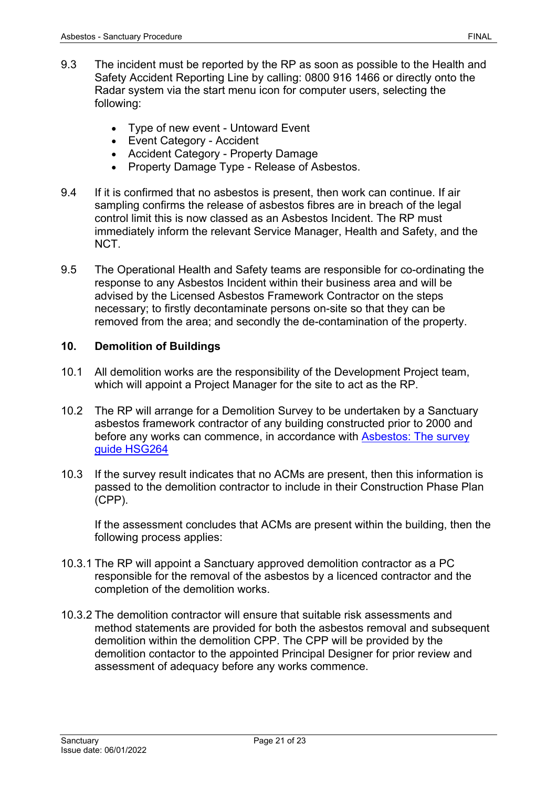- 9.3 The incident must be reported by the RP as soon as possible to the Health and Safety Accident Reporting Line by calling: 0800 916 1466 or directly onto the Radar system via the start menu icon for computer users, selecting the following:
	- Type of new event Untoward Event
	- Event Category Accident
	- Accident Category Property Damage
	- Property Damage Type Release of Asbestos.
- 9.4 If it is confirmed that no asbestos is present, then work can continue. If air sampling confirms the release of asbestos fibres are in breach of the legal control limit this is now classed as an Asbestos Incident. The RP must immediately inform the relevant Service Manager, Health and Safety, and the NCT.
- 9.5 The Operational Health and Safety teams are responsible for co-ordinating the response to any Asbestos Incident within their business area and will be advised by the Licensed Asbestos Framework Contractor on the steps necessary; to firstly decontaminate persons on-site so that they can be removed from the area; and secondly the de-contamination of the property.

#### <span id="page-20-0"></span>**10. Demolition of Buildings**

- 10.1 All demolition works are the responsibility of the Development Project team, which will appoint a Project Manager for the site to act as the RP.
- 10.2 The RP will arrange for a Demolition Survey to be undertaken by a Sanctuary asbestos framework contractor of any building constructed prior to 2000 and before any works can commence, in accordance with Asbestos: [The survey](https://www.hse.gov.uk/pubns/priced/hsg264.pdf) [guide HSG264](https://www.hse.gov.uk/pubns/priced/hsg264.pdf)
- 10.3 If the survey result indicates that no ACMs are present, then this information is passed to the demolition contractor to include in their Construction Phase Plan (CPP).

If the assessment concludes that ACMs are present within the building, then the following process applies:

- 10.3.1 The RP will appoint a Sanctuary approved demolition contractor as a PC responsible for the removal of the asbestos by a licenced contractor and the completion of the demolition works.
- 10.3.2 The demolition contractor will ensure that suitable risk assessments and method statements are provided for both the asbestos removal and subsequent demolition within the demolition CPP. The CPP will be provided by the demolition contactor to the appointed Principal Designer for prior review and assessment of adequacy before any works commence.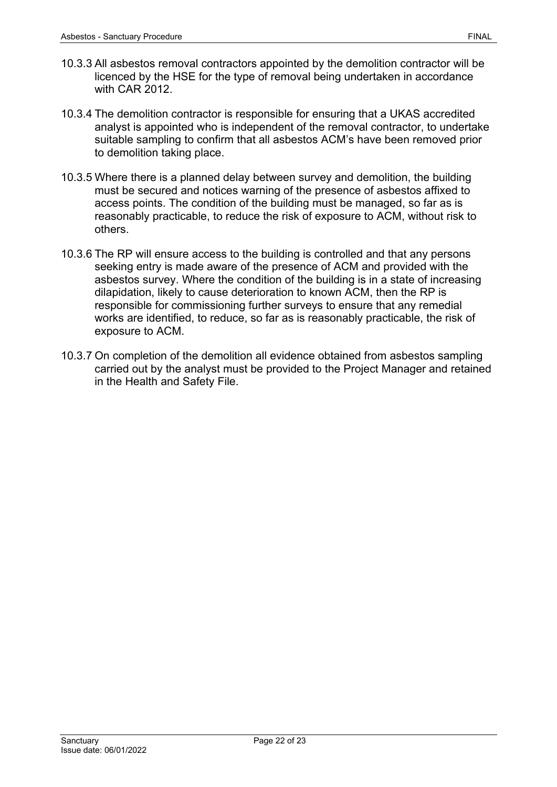- 10.3.3 All asbestos removal contractors appointed by the demolition contractor will be licenced by the HSE for the type of removal being undertaken in accordance with CAR 2012.
- 10.3.4 The demolition contractor is responsible for ensuring that a UKAS accredited analyst is appointed who is independent of the removal contractor, to undertake suitable sampling to confirm that all asbestos ACM's have been removed prior to demolition taking place.
- 10.3.5 Where there is a planned delay between survey and demolition, the building must be secured and notices warning of the presence of asbestos affixed to access points. The condition of the building must be managed, so far as is reasonably practicable, to reduce the risk of exposure to ACM, without risk to others.
- 10.3.6 The RP will ensure access to the building is controlled and that any persons seeking entry is made aware of the presence of ACM and provided with the asbestos survey. Where the condition of the building is in a state of increasing dilapidation, likely to cause deterioration to known ACM, then the RP is responsible for commissioning further surveys to ensure that any remedial works are identified, to reduce, so far as is reasonably practicable, the risk of exposure to ACM.
- 10.3.7 On completion of the demolition all evidence obtained from asbestos sampling carried out by the analyst must be provided to the Project Manager and retained in the Health and Safety File.